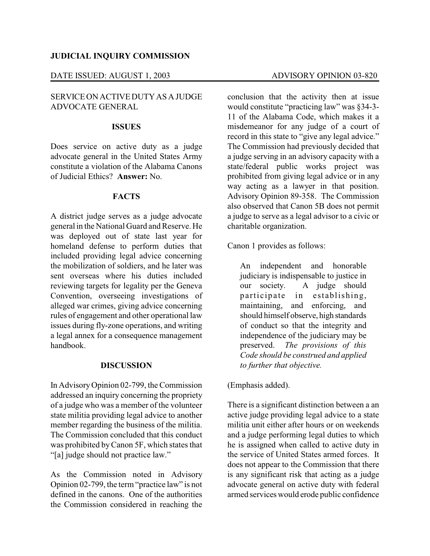## **JUDICIAL INQUIRY COMMISSION**

## DATE ISSUED: AUGUST 1, 2003 ADVISORY OPINION 03-820

## SERVICE ON ACTIVE DUTY AS A JUDGE ADVOCATE GENERAL

#### **ISSUES**

Does service on active duty as a judge advocate general in the United States Army constitute a violation of the Alabama Canons of Judicial Ethics? **Answer:** No.

#### **FACTS**

A district judge serves as a judge advocate general in the National Guard and Reserve. He was deployed out of state last year for homeland defense to perform duties that included providing legal advice concerning the mobilization of soldiers, and he later was sent overseas where his duties included reviewing targets for legality per the Geneva Convention, overseeing investigations of alleged war crimes, giving advice concerning rules of engagement and other operational law issues during fly-zone operations, and writing a legal annex for a consequence management handbook.

## **DISCUSSION**

In AdvisoryOpinion 02-799, the Commission addressed an inquiry concerning the propriety of a judge who was a member of the volunteer state militia providing legal advice to another member regarding the business of the militia. The Commission concluded that this conduct was prohibited byCanon 5F, which states that "[a] judge should not practice law."

As the Commission noted in Advisory Opinion 02-799, the term "practice law" is not defined in the canons. One of the authorities the Commission considered in reaching the

conclusion that the activity then at issue would constitute "practicing law" was §34-3- 11 of the Alabama Code, which makes it a misdemeanor for any judge of a court of record in this state to "give any legal advice." The Commission had previously decided that a judge serving in an advisory capacity with a state/federal public works project was prohibited from giving legal advice or in any way acting as a lawyer in that position. Advisory Opinion 89-358. The Commission also observed that Canon 5B does not permit a judge to serve as a legal advisor to a civic or charitable organization.

Canon 1 provides as follows:

An independent and honorable judiciary is indispensable to justice in our society. A judge should participate in establishing, maintaining, and enforcing, and should himself observe, high standards of conduct so that the integrity and independence of the judiciary may be preserved. *The provisions of this Code should be construed and applied to further that objective.* 

(Emphasis added).

There is a significant distinction between a an active judge providing legal advice to a state militia unit either after hours or on weekends and a judge performing legal duties to which he is assigned when called to active duty in the service of United States armed forces. It does not appear to the Commission that there is any significant risk that acting as a judge advocate general on active duty with federal armed services would erode public confidence